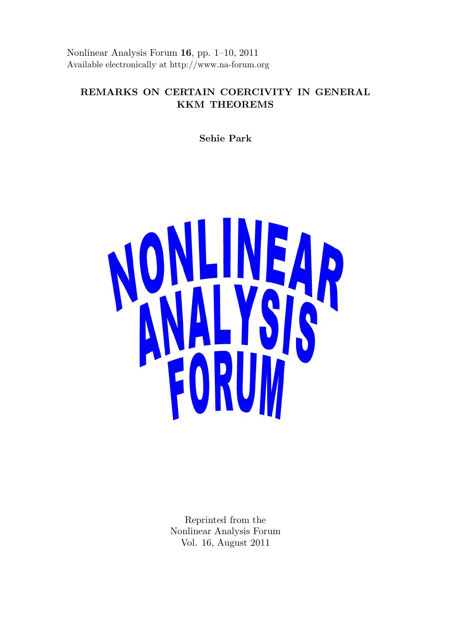Nonlinear Analysis Forum 16, pp. 1–10, 2011 Available electronically at http://www.na-forum.org

# REMARKS ON CERTAIN COERCIVITY IN GENERAL KKM THEOREMS

Sehie Park



Reprinted from the Nonlinear Analysis Forum Vol. 16, August 2011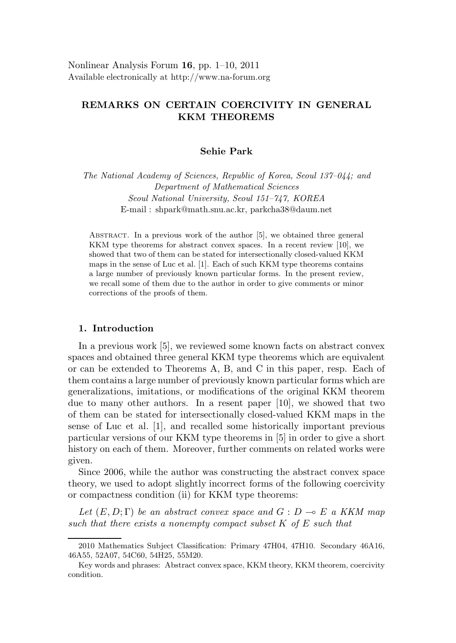Nonlinear Analysis Forum 16, pp. 1–10, 2011 Available electronically at http://www.na-forum.org

## REMARKS ON CERTAIN COERCIVITY IN GENERAL KKM THEOREMS

### Sehie Park

The National Academy of Sciences, Republic of Korea, Seoul 137–044; and Department of Mathematical Sciences Seoul National University, Seoul 151–747, KOREA E-mail : shpark@math.snu.ac.kr, parkcha38@daum.net

Abstract. In a previous work of the author [5], we obtained three general KKM type theorems for abstract convex spaces. In a recent review [10], we showed that two of them can be stated for intersectionally closed-valued KKM maps in the sense of Luc et al. [1]. Each of such KKM type theorems contains a large number of previously known particular forms. In the present review, we recall some of them due to the author in order to give comments or minor corrections of the proofs of them.

### 1. Introduction

In a previous work [5], we reviewed some known facts on abstract convex spaces and obtained three general KKM type theorems which are equivalent or can be extended to Theorems A, B, and C in this paper, resp. Each of them contains a large number of previously known particular forms which are generalizations, imitations, or modifications of the original KKM theorem due to many other authors. In a resent paper [10], we showed that two of them can be stated for intersectionally closed-valued KKM maps in the sense of Luc et al. [1], and recalled some historically important previous particular versions of our KKM type theorems in [5] in order to give a short history on each of them. Moreover, further comments on related works were given.

Since 2006, while the author was constructing the abstract convex space theory, we used to adopt slightly incorrect forms of the following coercivity or compactness condition (ii) for KKM type theorems:

Let  $(E, D; \Gamma)$  be an abstract convex space and  $G: D \multimap E$  a KKM map such that there exists a nonempty compact subset K of E such that

<sup>2010</sup> Mathematics Subject Classification: Primary 47H04, 47H10. Secondary 46A16, 46A55, 52A07, 54C60, 54H25, 55M20.

Key words and phrases: Abstract convex space, KKM theory, KKM theorem, coercivity condition.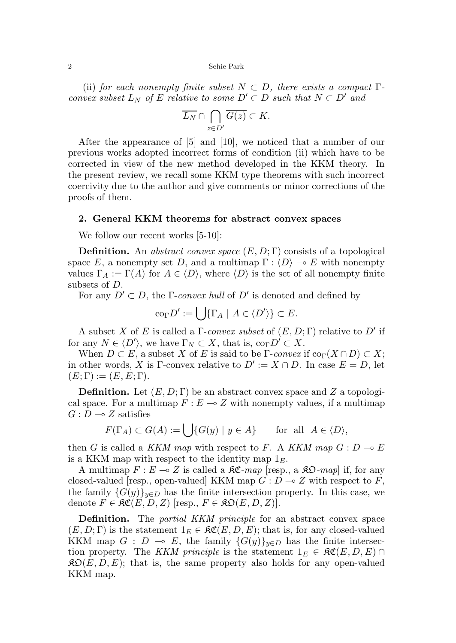2 Sehie Park

(ii) for each nonempty finite subset  $N \subset D$ , there exists a compact  $\Gamma$ convex subset  $L_N$  of E relative to some  $D' \subset D$  such that  $N \subset D'$  and

$$
\overline{L_N} \cap \bigcap_{z \in D'} \overline{G(z)} \subset K.
$$

After the appearance of [5] and [10], we noticed that a number of our previous works adopted incorrect forms of condition (ii) which have to be corrected in view of the new method developed in the KKM theory. In the present review, we recall some KKM type theorems with such incorrect coercivity due to the author and give comments or minor corrections of the proofs of them.

#### 2. General KKM theorems for abstract convex spaces

We follow our recent works  $[5-10]$ :

**Definition.** An abstract convex space  $(E, D; \Gamma)$  consists of a topological space E, a nonempty set D, and a multimap  $\Gamma : \langle D \rangle \to E$  with nonempty values  $\Gamma_A := \Gamma(A)$  for  $A \in \langle D \rangle$ , where  $\langle D \rangle$  is the set of all nonempty finite subsets of D.

For any  $D' \subset D$ , the *Γ-convex hull* of  $D'$  is denoted and defined by

 $\operatorname{co}_{\Gamma} D' := \bigcup \{ \Gamma_A \mid A \in \langle D' \rangle \} \subset E.$ 

A subset X of E is called a  $\Gamma$ -convex subset of  $(E, D; \Gamma)$  relative to D' if for any  $N \in \langle D' \rangle$ , we have  $\Gamma_N \subset X$ , that is,  $\text{co}_{\Gamma} D' \subset X$ .

When  $D \subset E$ , a subset X of E is said to be  $\Gamma$ -convex if co $\Gamma(X \cap D) \subset X$ ; in other words, X is Γ-convex relative to  $D' := X \cap D$ . In case  $E = D$ , let  $(E; \Gamma) := (E, E; \Gamma).$ 

**Definition.** Let  $(E, D; \Gamma)$  be an abstract convex space and Z a topological space. For a multimap  $F : E \longrightarrow Z$  with nonempty values, if a multimap  $G: D \longrightarrow Z$  satisfies

$$
F(\Gamma_A) \subset G(A) := \bigcup \{ G(y) \mid y \in A \} \quad \text{for all } A \in \langle D \rangle,
$$

then G is called a KKM map with respect to F. A KKM map  $G: D \to E$ is a KKM map with respect to the identity map  $1<sub>E</sub>$ .

A multimap  $F : E \multimap Z$  is called a  $\Re \mathfrak{C}$ -map [resp., a  $\Re \mathfrak{O}$ -map] if, for any closed-valued [resp., open-valued] KKM map  $G: D \to Z$  with respect to F, the family  $\{G(y)\}_{y\in D}$  has the finite intersection property. In this case, we denote  $F \in \mathfrak{RC}(E, D, Z)$  [resp.,  $F \in \mathfrak{RO}(E, D, Z)$ ].

**Definition.** The *partial KKM principle* for an abstract convex space  $(E, D; \Gamma)$  is the statement  $1_E \in \mathfrak{RC}(E, D, E)$ ; that is, for any closed-valued KKM map  $G : D \multimap E$ , the family  ${G(y)}_{y\in D}$  has the finite intersection property. The KKM principle is the statement  $1_E \in \mathfrak{RC}(E,D,E) \cap$  $\mathfrak{RO}(E, D, E)$ ; that is, the same property also holds for any open-valued KKM map.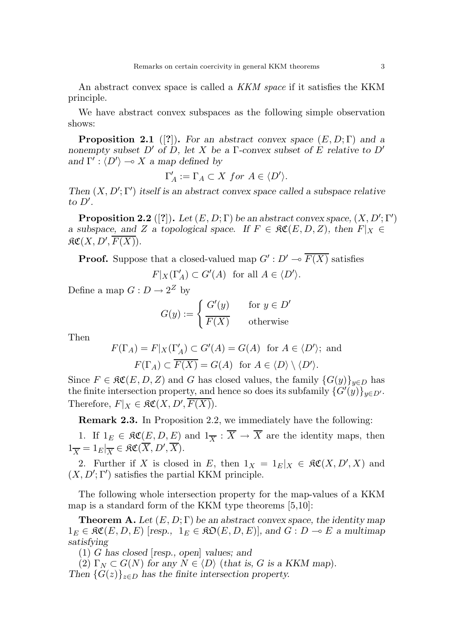An abstract convex space is called a *KKM space* if it satisfies the KKM principle.

We have abstract convex subspaces as the following simple observation shows:

**Proposition 2.1** ([?]). For an abstract convex space  $(E, D; \Gamma)$  and a nonempty subset D' of D, let X be a Γ-convex subset of E relative to D' and  $\Gamma': \langle D' \rangle \longrightarrow X$  a map defined by

$$
\Gamma'_A := \Gamma_A \subset X \text{ for } A \in \langle D' \rangle.
$$

Then  $(X, D'; \Gamma')$  itself is an abstract convex space called a subspace relative to  $D'$ .

**Proposition 2.2** ([?]). Let  $(E, D; \Gamma)$  be an abstract convex space,  $(X, D'; \Gamma')$ a subspace, and Z a topological space. If  $F \in \mathfrak{RC}(E, D, Z)$ , then  $F|_X \in$  $\mathfrak{RC}(X,D',\overline{F(X)}).$ 

**Proof.** Suppose that a closed-valued map  $G': D' \to \overline{F(X)}$  satisfies

 $F|_X(\Gamma'_A) \subset G'(A)$  for all  $A \in \langle D' \rangle$ .

Define a map  $G: D \to 2^Z$  by

$$
G(y) := \begin{cases} G'(y) & \text{for } y \in D' \\ \overline{F(X)} & \text{otherwise} \end{cases}
$$

Then

$$
F(\Gamma_A) = F|_X(\Gamma'_A) \subset G'(A) = G(A) \text{ for } A \in \langle D' \rangle; \text{ and}
$$

$$
F(\Gamma_A) \subset \overline{F(X)} = G(A) \text{ for } A \in \langle D \rangle \setminus \langle D' \rangle.
$$

Since  $F \in \mathfrak{RC}(E, D, Z)$  and G has closed values, the family  $\{G(y)\}_{y \in D}$  has the finite intersection property, and hence so does its subfamily  $\{G'(\hat{y})\}_{y\in D'}$ . Therefore,  $F|_X \in \mathfrak{RC}(X, D', \overline{F(X)})$ .

Remark 2.3. In Proposition 2.2, we immediately have the following:

1. If  $1_E \in \mathfrak{RC}(E, D, E)$  and  $1_{\overline{X}} : \overline{X} \to \overline{X}$  are the identity maps, then  $1_{\overline{X}} = 1_E |_{\overline{X}} \in \mathfrak{RC}(\overline{X}, D', \overline{X}).$ 

2. Further if X is closed in E, then  $1_X = 1_E|_X \in \mathfrak{RC}(X, D', X)$  and  $(X, D'; \Gamma')$  satisfies the partial KKM principle.

The following whole intersection property for the map-values of a KKM map is a standard form of the KKM type theorems [5,10]:

**Theorem A.** Let  $(E, D; \Gamma)$  be an abstract convex space, the identity map  $1_E \in \mathfrak{RC}(E, D, E)$  [resp.,  $1_E \in \mathfrak{RO}(E, D, E)$ ], and  $G : D \multimap E$  a multimap satisfying

(1) G has closed [resp., open] values; and

(2)  $\Gamma_N \subset G(N)$  for any  $N \in \langle D \rangle$  (that is, G is a KKM map). Then  $\{G(z)\}_{z\in D}$  has the finite intersection property.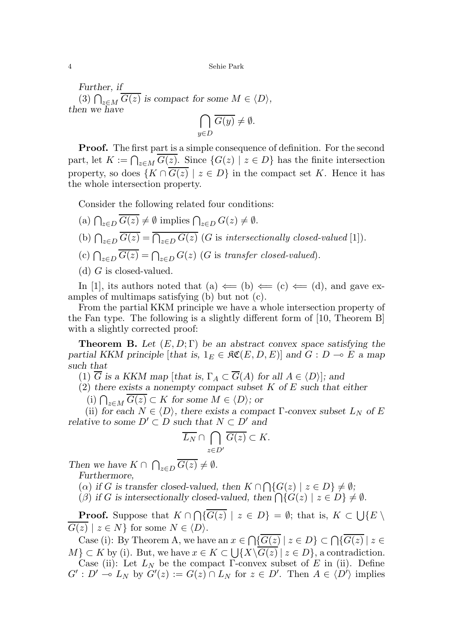Further, if (3)  $\bigcap_{z \in M} G(z)$  is compact for some  $M \in \langle D \rangle$ , then we have

$$
\bigcap_{y \in D} \overline{G(y)} \neq \emptyset.
$$

**Proof.** The first part is a simple consequence of definition. For the second part, let  $K := \bigcap_{z \in M} G(z)$ . Since  $\{G(z) \mid z \in D\}$  has the finite intersection property, so does  $\{K \cap \overline{G(z)} \mid z \in D\}$  in the compact set K. Hence it has the whole intersection property.

Consider the following related four conditions:

- (a)  $\bigcap_{z\in D} G(z) \neq \emptyset$  implies  $\bigcap_{z\in D} G(z) \neq \emptyset$ .
- (b)  $\bigcap_{z\in D} G(z) = \bigcap_{z\in D} G(z)$  (G is intersectionally closed-valued [1]).
- (c)  $\bigcap_{z\in D} G(z) = \bigcap_{z\in D} G(z)$  (G is transfer closed-valued).
- (d)  $G$  is closed-valued.

In [1], its authors noted that (a)  $\Leftarrow$  (b)  $\Leftarrow$  (c)  $\Leftarrow$  (d), and gave examples of multimaps satisfying (b) but not (c).

From the partial KKM principle we have a whole intersection property of the Fan type. The following is a slightly different form of [10, Theorem B] with a slightly corrected proof:

**Theorem B.** Let  $(E, D; \Gamma)$  be an abstract convex space satisfying the partial KKM principle [that is,  $1_E \in \mathfrak{RC}(E, D, E)$ ] and  $G : D \multimap E$  a map such that

(1)  $\overline{G}$  is a KKM map [that is,  $\Gamma_A \subset \overline{G}(A)$  for all  $A \in \langle D \rangle$ ]; and

 $(2)$  there exists a nonempty compact subset K of E such that either

(i)  $\bigcap_{z \in M} G(z) \subset K$  for some  $M \in \langle D \rangle$ ; or

(ii) for each  $N \in \langle D \rangle$ , there exists a compact Γ-convex subset  $L_N$  of E relative to some  $D' \subset D$  such that  $N \subset D'$  and

$$
\overline{L_N} \cap \bigcap_{z \in D'} \overline{G(z)} \subset K.
$$

Then we have  $K \cap \bigcap_{z \in D} G(z) \neq \emptyset$ .

Furthermore,

(a) if G is transfer closed-valued, then  $K \cap \bigcap \{G(z) \mid z \in D\} \neq \emptyset$ ;

( $\beta$ ) if G is intersectionally closed-valued, then  $\bigcap \{G(z) \mid z \in D\} \neq \emptyset$ .

**Proof.** Suppose that  $K \cap \bigcap \{G(z) \mid z \in D\} = \emptyset$ ; that is,  $K \subset \bigcup \{E \setminus \{G(z) \mid z \in D\} \mid z \in D\}$  $G(z) \mid z \in N$  for some  $N \in \langle D \rangle$ .

Case (i): By Theorem A, we have an  $x \in \bigcap \{G(z) \mid z \in D\} \subset \bigcap \{G(z) \mid z \in D\}$  $M$ }  $\subset K$  by (i). But, we have  $x \in K \subset \bigcup \{X \setminus G(z) \mid z \in D\}$ , a contradiction. Case (ii): Let  $L_N$  be the compact Γ-convex subset of E in (ii). Define  $G': D' \stackrel{\sim}{\multimap} L_N$  by  $G'(z) := G(z) \cap L_N$  for  $z \in D'$ . Then  $A \in \langle D' \rangle$  implies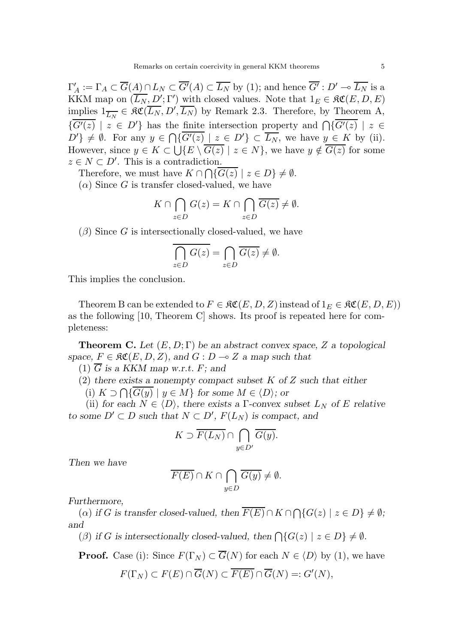$\Gamma'$  $A'_{A} := \Gamma_A \subset \overline{G(A)} \cap L_N \subset \overline{G'}(A) \subset \overline{L_N}$  by (1); and hence  $\overline{G'} : D' \to \overline{L_N}$  is a KKM map on  $(\overline{L_N}, D'; \Gamma')$  with closed values. Note that  $1_E \in \mathfrak{RC}(E, D, E)$ implies  $1_{\overline{L_N}} \in \mathfrak{RC}(\overline{L_N}, D', \overline{L_N})$  by Remark 2.3. Therefore, by Theorem A,  $\{\overline{G'(z)} \mid z \in D'\}$  has the finite intersection property and  $\bigcap \{\overline{G'(z)} \mid z \in D'\}$  $D'\}\neq\emptyset$ . For any  $y\in\bigcap\{\overline{G'(z)}\mid z\in D'\}\subset\overline{L_N}$ , we have  $y\in K$  by (ii). However, since  $y \in K \subset \bigcup \{E \setminus G(z) \mid z \in N\}$ , we have  $y \notin G(z)$  for some  $z \in N \subset D'$ . This is a contradiction.

Therefore, we must have  $K \cap \bigcap \{G(z) \mid z \in D\} \neq \emptyset$ .  $(\alpha)$  Since G is transfer closed-valued, we have

$$
K \cap \bigcap_{z \in D} G(z) = K \cap \bigcap_{z \in D} \overline{G(z)} \neq \emptyset.
$$

 $(\beta)$  Since G is intersectionally closed-valued, we have

$$
\overline{\bigcap_{z\in D} G(z)} = \bigcap_{z\in D} \overline{G(z)} \neq \emptyset.
$$

This implies the conclusion.

Theorem B can be extended to  $F \in \mathfrak{RC}(E, D, Z)$  instead of  $1_E \in \mathfrak{RC}(E, D, E)$ as the following [10, Theorem C] shows. Its proof is repeated here for completeness:

**Theorem C.** Let  $(E, D; \Gamma)$  be an abstract convex space, Z a topological space,  $F \in \mathfrak{RC}(E, D, Z)$ , and  $G : D \to Z$  a map such that

(1)  $\overline{G}$  is a KKM map w.r.t. F; and

(2) there exists a nonempty compact subset  $K$  of  $Z$  such that either

(i)  $K \supset \bigcap \{G(y) \mid y \in M\}$  for some  $M \in \langle D \rangle$ ; or

(ii) for each  $N \in \langle D \rangle$ , there exists a Γ-convex subset  $L_N$  of E relative to some  $D' \subset D$  such that  $N \subset D'$ ,  $F(L_N)$  is compact, and

$$
K \supset \overline{F(L_N)} \cap \bigcap_{y \in D'} \overline{G(y)}.
$$

Then we have

$$
\overline{F(E)} \cap K \cap \bigcap_{y \in D} \overline{G(y)} \neq \emptyset.
$$

Furthermore,

(a) if G is transfer closed-valued, then  $F(E) \cap K \cap \bigcap \{G(z) \mid z \in D\} \neq \emptyset$ ; and

( $\beta$ ) if G is intersectionally closed-valued, then  $\bigcap \{G(z) \mid z \in D\} \neq \emptyset$ .

**Proof.** Case (i): Since  $F(\Gamma_N) \subset \overline{G}(N)$  for each  $N \in \langle D \rangle$  by (1), we have

$$
F(\Gamma_N) \subset F(E) \cap \overline{G}(N) \subset \overline{F(E)} \cap \overline{G}(N) =: G'(N),
$$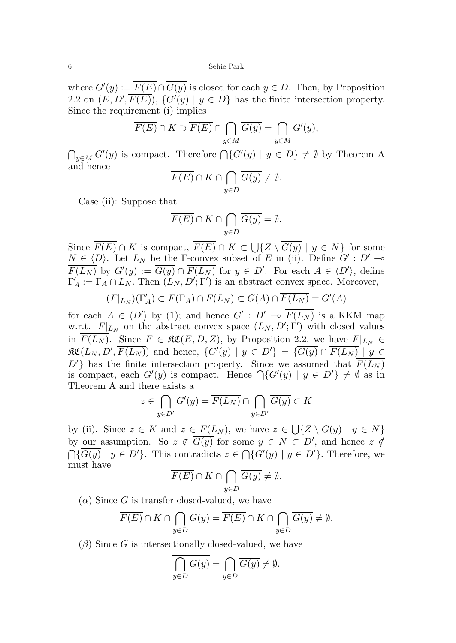6 Sehie Park

where  $G'(y) := \overline{F(E)} \cap \overline{G(y)}$  is closed for each  $y \in D$ . Then, by Proposition 2.2 on  $(E, D', \overline{F(E)})$ ,  $\{G'(y) | y \in D\}$  has the finite intersection property. Since the requirement (i) implies

$$
\overline{F(E)} \cap K \supset \overline{F(E)} \cap \bigcap_{y \in M} \overline{G(y)} = \bigcap_{y \in M} G'(y),
$$

 $\bigcap_{y\in M} G'(y)$  is compact. Therefore  $\bigcap \{G'(y) \mid y \in D\} \neq \emptyset$  by Theorem A and hence

$$
\overline{F(E)} \cap K \cap \bigcap_{y \in D} \overline{G(y)} \neq \emptyset.
$$

Case (ii): Suppose that

$$
\overline{F(E)} \cap K \cap \bigcap_{y \in D} \overline{G(y)} = \emptyset.
$$

Since  $F(E) \cap K$  is compact,  $F(E) \cap K \subset \bigcup \{Z \setminus G(y) \mid y \in N\}$  for some  $N \in \langle D \rangle$ . Let  $L_N$  be the Γ-convex subset of E in (ii). Define  $G' : D' \longrightarrow$  $\overline{F(L_N)}$  by  $G'(y) := \overline{G(y)} \cap \overline{F(L_N)}$  for  $y \in D'$ . For each  $A \in \langle D' \rangle$ , define  $\Gamma'_A := \Gamma_A \cap L_N$ . Then  $(L_N, D'; \Gamma')$  is an abstract convex space. Moreover,

$$
(F|_{L_N})(\Gamma'_A) \subset F(\Gamma_A) \cap F(L_N) \subset \overline{G}(A) \cap \overline{F(L_N)} = G'(A)
$$

for each  $A \in \langle D' \rangle$  by (1); and hence  $G' : D' \multimap \overline{F(L_N)}$  is a KKM map w.r.t.  $F|_{L_N}$  on the abstract convex space  $(L_N, D'; \Gamma')$  with closed values in  $\overline{F(L_N)}$ . Since  $F \in \mathfrak{RC}(E, D, Z)$ , by Proposition 2.2, we have  $F|_{L_N} \in$  $\mathfrak{RC}(L_N, D', \overline{F(L_N)})$  and hence,  $\{G'(y) | y \in D'\} = \{G(y) \cap \overline{F(L_N)} | y \in D'\}$  $D'$  has the finite intersection property. Since we assumed that  $\overline{F(L_N)}$ is compact, each  $G'(y)$  is compact. Hence  $\bigcap \{G'(y) \mid y \in D'\} \neq \emptyset$  as in Theorem A and there exists a

$$
z \in \bigcap_{y \in D'} G'(y) = \overline{F(L_N)} \cap \bigcap_{y \in D'} \overline{G(y)} \subset K
$$

by (ii). Since  $z \in K$  and  $z \in F(L_N)$ , we have  $z \in \bigcup \{Z \setminus G(y) \mid y \in N\}$ by our assumption. So  $z \notin \overline{G(y)}$  for some  $y \in N \subset D'$ , and hence  $z \notin$  $\bigcap \{\overline{G(y)} \mid y \in D'\}.$  This contradicts  $z \in \bigcap \{G'(y) \mid y \in D'\}.$  Therefore, we must have

$$
\overline{F(E)} \cap K \cap \bigcap_{y \in D} \overline{G(y)} \neq \emptyset.
$$

 $(\alpha)$  Since G is transfer closed-valued, we have

$$
\overline{F(E)} \cap K \cap \bigcap_{y \in D} G(y) = \overline{F(E)} \cap K \cap \bigcap_{y \in D} \overline{G(y)} \neq \emptyset.
$$

 $(\beta)$  Since G is intersectionally closed-valued, we have

$$
\bigcap_{y \in D} G(y) = \bigcap_{y \in D} \overline{G(y)} \neq \emptyset.
$$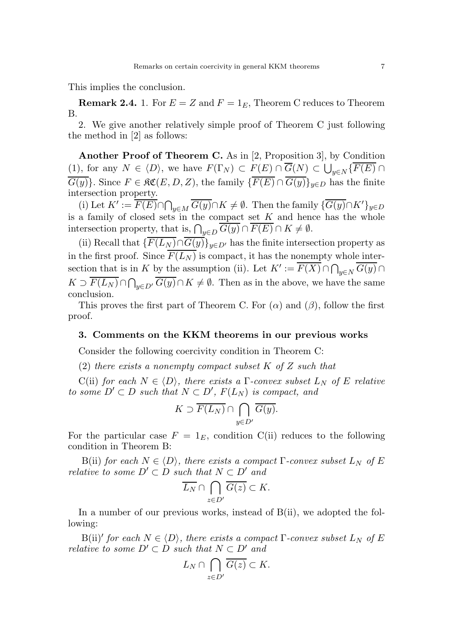This implies the conclusion.

**Remark 2.4.** 1. For  $E = Z$  and  $F = 1<sub>E</sub>$ , Theorem C reduces to Theorem B.

2. We give another relatively simple proof of Theorem C just following the method in [2] as follows:

Another Proof of Theorem C. As in [2, Proposition 3], by Condition (1), for any  $N \in \langle D \rangle$ , we have  $F(\Gamma_N) \subset F(E) \cap G(N) \subset \bigcup_{y \in N} \{F(E) \cap$  $\overline{G(y)}$ . Since  $F \in \mathfrak{RC}(E, D, Z)$ , the family  $\{\overline{F(E)} \cap \overline{G(y)}\}_{y \in D}$  has the finite intersection property.

(i) Let  $K' := \overline{F(E)} \cap \bigcap_{y \in M} \overline{G(y)} \cap K \neq \emptyset$ . Then the family  $\{\overline{G(y)} \cap K'\}_{y \in D}$ is a family of closed sets in the compact set  $K$  and hence has the whole intersection property, that is,  $\bigcap_{y\in D} G(y) \cap F(E) \cap K \neq \emptyset$ .

(ii) Recall that  $\{\overline{F(L_N)} \cap \overline{G(y)}\}_{y \in D'}$  has the finite intersection property as in the first proof. Since  $\overline{F(L_N)}$  is compact, it has the nonempty whole intersection that is in K by the assumption (ii). Let  $K' := \overline{F(X)} \cap \bigcap_{y \in N} \overline{G(y)} \cap \overline{\bigcap_{y \in N} G(y)}$  $K \supset F(L_N) \cap \bigcap_{y \in D'} G(y) \cap K \neq \emptyset$ . Then as in the above, we have the same conclusion.

This proves the first part of Theorem C. For  $(\alpha)$  and  $(\beta)$ , follow the first proof.

#### 3. Comments on the KKM theorems in our previous works

Consider the following coercivity condition in Theorem C:

(2) there exists a nonempty compact subset  $K$  of  $Z$  such that

C(ii) for each  $N \in \langle D \rangle$ , there exists a *Γ*-convex subset  $L_N$  of *E* relative to some  $D' \subset D$  such that  $N \subset D'$ ,  $F(L_N)$  is compact, and

$$
K \supset \overline{F(L_N)} \cap \bigcap_{y \in D'} \overline{G(y)}.
$$

For the particular case  $F = 1<sub>E</sub>$ , condition C(ii) reduces to the following condition in Theorem B:

B(ii) for each  $N \in \langle D \rangle$ , there exists a compact  $\Gamma$ -convex subset  $L_N$  of E relative to some  $D' \subset D$  such that  $N \subset D'$  and

$$
\overline{L_N} \cap \bigcap_{z \in D'} \overline{G(z)} \subset K.
$$

In a number of our previous works, instead of B(ii), we adopted the following:

B(ii)' for each  $N \in \langle D \rangle$ , there exists a compact  $\Gamma$ -convex subset  $L_N$  of E relative to some  $D' \subset D$  such that  $N \subset D'$  and

$$
L_N \cap \bigcap_{z \in D'} \overline{G(z)} \subset K.
$$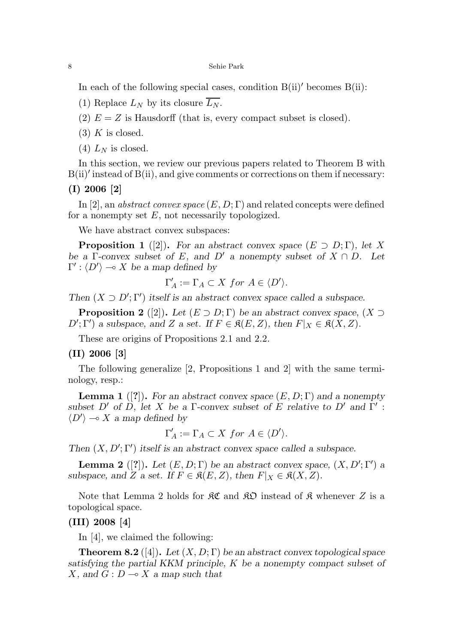In each of the following special cases, condition  $B(ii)'$  becomes  $B(ii)$ :

- (1) Replace  $L_N$  by its closure  $\overline{L_N}$ .
- (2)  $E = Z$  is Hausdorff (that is, every compact subset is closed).
- $(3)$  K is closed.
- $(4)$  L<sub>N</sub> is closed.

In this section, we review our previous papers related to Theorem B with  $B(ii)'$  instead of  $B(ii)$ , and give comments or corrections on them if necessary:

(I) 2006 [2]

In [2], an *abstract convex space*  $(E, D; \Gamma)$  and related concepts were defined for a nonempty set  $E$ , not necessarily topologized.

We have abstract convex subspaces:

**Proposition 1** ([2]). For an abstract convex space  $(E \supset D; \Gamma)$ , let X be a Γ-convex subset of E, and D' a nonempty subset of  $X \cap D$ . Let  $\Gamma': \langle D' \rangle \longrightarrow X$  be a map defined by

$$
\Gamma'_A := \Gamma_A \subset X \text{ for } A \in \langle D' \rangle.
$$

Then  $(X \supset D'; \Gamma')$  itself is an abstract convex space called a subspace.

**Proposition 2** ([2]). Let  $(E \supset D; \Gamma)$  be an abstract convex space,  $(X \supset$  $D'$ ; Γ') a subspace, and Z a set. If  $F \in \mathfrak{K}(E, Z)$ , then  $F|_X \in \mathfrak{K}(X, Z)$ .

These are origins of Propositions 2.1 and 2.2.

#### (II) 2006 [3]

The following generalize [2, Propositions 1 and 2] with the same terminology, resp.:

**Lemma 1** ([?]). For an abstract convex space  $(E, D; \Gamma)$  and a nonempty subset D' of D, let X be a Γ-convex subset of E relative to D' and  $\Gamma'$ :  $\langle D' \rangle \sim X$  a map defined by

$$
\Gamma'_A := \Gamma_A \subset X \text{ for } A \in \langle D' \rangle.
$$

Then  $(X, D'; \Gamma')$  itself is an abstract convex space called a subspace.

**Lemma 2** ([?]). Let  $(E, D; \Gamma)$  be an abstract convex space,  $(X, D'; \Gamma')$  a subspace, and Z a set. If  $F \in \mathfrak{K}(E, Z)$ , then  $F|_X \in \mathfrak{K}(X, Z)$ .

Note that Lemma 2 holds for  $\mathcal{RC}$  and  $\mathcal{RD}$  instead of  $\mathcal{R}$  whenever Z is a topological space.

### (III) 2008 [4]

In [4], we claimed the following:

**Theorem 8.2** ([4]). Let  $(X, D; \Gamma)$  be an abstract convex topological space satisfying the partial KKM principle, K be a nonempty compact subset of X, and  $G: D \longrightarrow X$  a map such that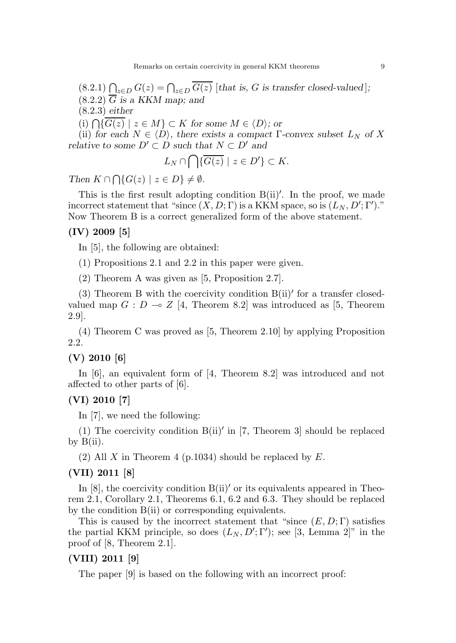$(8.2.1)$   $\bigcap_{z \in D} G(z) = \bigcap_{z \in D} G(z)$  [that is, G is transfer closed-valued];  $(8.2.2)$   $\overline{G}$  is a KKM map; and (8.2.3) either

(i)  $\bigcap \{G(z) \mid z \in M\} \subset K$  for some  $M \in \langle D \rangle$ ; or

(ii) for each  $N \in \langle D \rangle$ , there exists a compact Γ-convex subset  $L_N$  of X relative to some  $D' \subset D$  such that  $N \subset D'$  and

$$
L_N \cap \bigcap \{ \overline{G(z)} \mid z \in D' \} \subset K.
$$

Then  $K \cap \bigcap \{G(z) \mid z \in D\} \neq \emptyset$ .

This is the first result adopting condition  $B(ii)'$ . In the proof, we made incorrect statement that "since  $(X, D; \Gamma)$  is a KKM space, so is  $(L_N, D'; \Gamma').$ " Now Theorem B is a correct generalized form of the above statement.

### (IV) 2009 [5]

In [5], the following are obtained:

(1) Propositions 2.1 and 2.2 in this paper were given.

(2) Theorem A was given as [5, Proposition 2.7].

(3) Theorem B with the coercivity condition  $B(ii)'$  for a transfer closedvalued map  $G : D \multimap Z$  [4, Theorem 8.2] was introduced as [5, Theorem 2.9].

(4) Theorem C was proved as [5, Theorem 2.10] by applying Proposition 2.2.

### (V) 2010 [6]

In [6], an equivalent form of [4, Theorem 8.2] was introduced and not affected to other parts of [6].

## (VI) 2010 [7]

In [7], we need the following:

(1) The coercivity condition  $B(i)$ <sup>'</sup> in [7, Theorem 3] should be replaced by  $B(ii)$ .

(2) All X in Theorem 4 (p.1034) should be replaced by  $E$ .

#### (VII) 2011 [8]

In  $[8]$ , the coercivity condition  $B(ii)'$  or its equivalents appeared in Theorem 2.1, Corollary 2.1, Theorems 6.1, 6.2 and 6.3. They should be replaced by the condition B(ii) or corresponding equivalents.

This is caused by the incorrect statement that "since  $(E, D; \Gamma)$  satisfies the partial KKM principle, so does  $(L_N, D'; \Gamma')$ ; see [3, Lemma 2]" in the proof of [8, Theorem 2.1].

### (VIII) 2011 [9]

The paper [9] is based on the following with an incorrect proof: